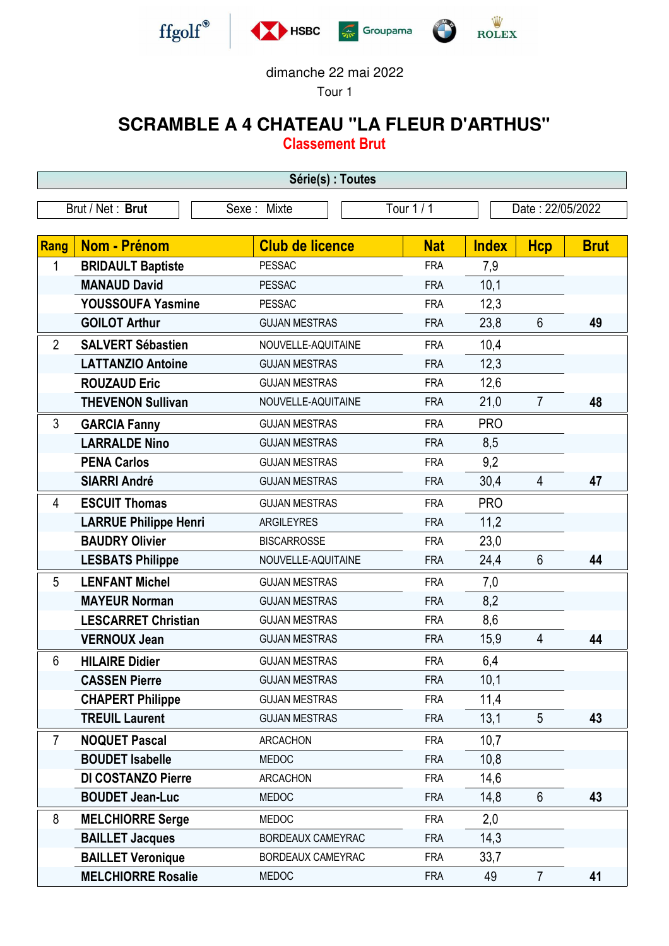







## dimanche 22 mai 2022

Tour 1

## **SCRAMBLE A 4 CHATEAU "LA FLEUR D'ARTHUS"**

**Classement Brut**

| Série(s) : Toutes |                              |                        |            |                  |                 |             |  |
|-------------------|------------------------------|------------------------|------------|------------------|-----------------|-------------|--|
| Brut / Net: Brut  |                              | Sexe: Mixte            | Tour 1 / 1 | Date: 22/05/2022 |                 |             |  |
|                   |                              |                        |            |                  |                 |             |  |
| Rang              | <b>Nom - Prénom</b>          | <b>Club de licence</b> | <b>Nat</b> | <b>Index</b>     | <b>Hcp</b>      | <b>Brut</b> |  |
| 1                 | <b>BRIDAULT Baptiste</b>     | <b>PESSAC</b>          | <b>FRA</b> | 7,9              |                 |             |  |
|                   | <b>MANAUD David</b>          | <b>PESSAC</b>          | <b>FRA</b> | 10,1             |                 |             |  |
|                   | YOUSSOUFA Yasmine            | <b>PESSAC</b>          | <b>FRA</b> | 12,3             |                 |             |  |
|                   | <b>GOILOT Arthur</b>         | <b>GUJAN MESTRAS</b>   | <b>FRA</b> | 23,8             | $6\phantom{1}6$ | 49          |  |
| $\overline{2}$    | <b>SALVERT Sébastien</b>     | NOUVELLE-AQUITAINE     | <b>FRA</b> | 10,4             |                 |             |  |
|                   | <b>LATTANZIO Antoine</b>     | <b>GUJAN MESTRAS</b>   | <b>FRA</b> | 12,3             |                 |             |  |
|                   | <b>ROUZAUD Eric</b>          | <b>GUJAN MESTRAS</b>   | <b>FRA</b> | 12,6             |                 |             |  |
|                   | <b>THEVENON Sullivan</b>     | NOUVELLE-AQUITAINE     | <b>FRA</b> | 21,0             | $\overline{7}$  | 48          |  |
| 3                 | <b>GARCIA Fanny</b>          | <b>GUJAN MESTRAS</b>   | <b>FRA</b> | <b>PRO</b>       |                 |             |  |
|                   | <b>LARRALDE Nino</b>         | <b>GUJAN MESTRAS</b>   | <b>FRA</b> | 8,5              |                 |             |  |
|                   | <b>PENA Carlos</b>           | <b>GUJAN MESTRAS</b>   | <b>FRA</b> | 9,2              |                 |             |  |
|                   | <b>SIARRI André</b>          | <b>GUJAN MESTRAS</b>   | <b>FRA</b> | 30,4             | $\overline{4}$  | 47          |  |
| 4                 | <b>ESCUIT Thomas</b>         | <b>GUJAN MESTRAS</b>   | <b>FRA</b> | <b>PRO</b>       |                 |             |  |
|                   | <b>LARRUE Philippe Henri</b> | ARGILEYRES             | <b>FRA</b> | 11,2             |                 |             |  |
|                   | <b>BAUDRY Olivier</b>        | <b>BISCARROSSE</b>     | <b>FRA</b> | 23,0             |                 |             |  |
|                   | <b>LESBATS Philippe</b>      | NOUVELLE-AQUITAINE     | <b>FRA</b> | 24,4             | $6\phantom{1}$  | 44          |  |
| 5                 | <b>LENFANT Michel</b>        | <b>GUJAN MESTRAS</b>   | <b>FRA</b> | 7,0              |                 |             |  |
|                   | <b>MAYEUR Norman</b>         | <b>GUJAN MESTRAS</b>   | <b>FRA</b> | 8,2              |                 |             |  |
|                   | <b>LESCARRET Christian</b>   | <b>GUJAN MESTRAS</b>   | <b>FRA</b> | 8,6              |                 |             |  |
|                   | <b>VERNOUX Jean</b>          | <b>GUJAN MESTRAS</b>   | <b>FRA</b> | 15,9             | $\overline{4}$  | 44          |  |
| 6                 | <b>HILAIRE Didier</b>        | <b>GUJAN MESTRAS</b>   | <b>FRA</b> | 6,4              |                 |             |  |
|                   | <b>CASSEN Pierre</b>         | <b>GUJAN MESTRAS</b>   | <b>FRA</b> | 10,1             |                 |             |  |
|                   | <b>CHAPERT Philippe</b>      | <b>GUJAN MESTRAS</b>   | <b>FRA</b> | 11,4             |                 |             |  |
|                   | <b>TREUIL Laurent</b>        | <b>GUJAN MESTRAS</b>   | <b>FRA</b> | 13,1             | 5               | 43          |  |
| $\overline{7}$    | <b>NOQUET Pascal</b>         | <b>ARCACHON</b>        | <b>FRA</b> | 10,7             |                 |             |  |
|                   | <b>BOUDET Isabelle</b>       | <b>MEDOC</b>           | <b>FRA</b> | 10,8             |                 |             |  |
|                   | DI COSTANZO Pierre           | <b>ARCACHON</b>        | <b>FRA</b> | 14,6             |                 |             |  |
|                   | <b>BOUDET Jean-Luc</b>       | <b>MEDOC</b>           | <b>FRA</b> | 14,8             | $6\phantom{1}$  | 43          |  |
| 8                 | <b>MELCHIORRE Serge</b>      | <b>MEDOC</b>           | <b>FRA</b> | 2,0              |                 |             |  |
|                   | <b>BAILLET Jacques</b>       | BORDEAUX CAMEYRAC      | <b>FRA</b> | 14,3             |                 |             |  |
|                   | <b>BAILLET Veronique</b>     | BORDEAUX CAMEYRAC      | <b>FRA</b> | 33,7             |                 |             |  |
|                   | <b>MELCHIORRE Rosalie</b>    | <b>MEDOC</b>           | <b>FRA</b> | 49               | $\overline{7}$  | 41          |  |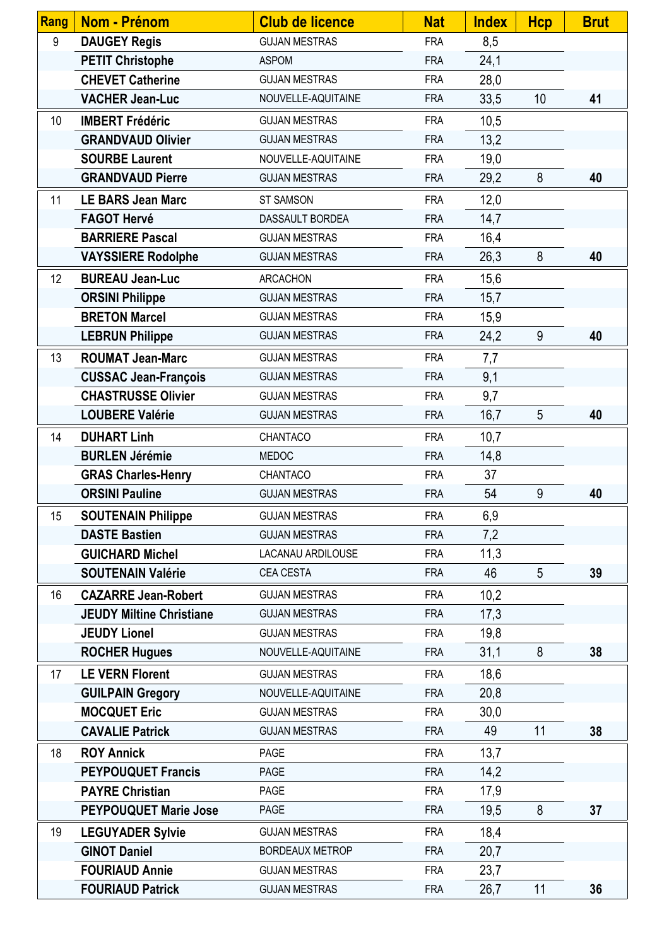| Rang | Nom - Prénom                    | <b>Club de licence</b> | <b>Nat</b> | <b>Index</b> | <b>Hcp</b>      | <b>Brut</b> |
|------|---------------------------------|------------------------|------------|--------------|-----------------|-------------|
| 9    | <b>DAUGEY Regis</b>             | <b>GUJAN MESTRAS</b>   | <b>FRA</b> | 8,5          |                 |             |
|      | <b>PETIT Christophe</b>         | <b>ASPOM</b>           | <b>FRA</b> | 24,1         |                 |             |
|      | <b>CHEVET Catherine</b>         | <b>GUJAN MESTRAS</b>   | <b>FRA</b> | 28,0         |                 |             |
|      | <b>VACHER Jean-Luc</b>          | NOUVELLE-AQUITAINE     | <b>FRA</b> | 33,5         | 10              | 41          |
| 10   | <b>IMBERT Frédéric</b>          | <b>GUJAN MESTRAS</b>   | <b>FRA</b> | 10,5         |                 |             |
|      | <b>GRANDVAUD Olivier</b>        | <b>GUJAN MESTRAS</b>   | <b>FRA</b> | 13,2         |                 |             |
|      | <b>SOURBE Laurent</b>           | NOUVELLE-AQUITAINE     | <b>FRA</b> | 19,0         |                 |             |
|      | <b>GRANDVAUD Pierre</b>         | <b>GUJAN MESTRAS</b>   | <b>FRA</b> | 29,2         | 8               | 40          |
| 11   | <b>LE BARS Jean Marc</b>        | <b>ST SAMSON</b>       | <b>FRA</b> | 12,0         |                 |             |
|      | <b>FAGOT Hervé</b>              | DASSAULT BORDEA        | <b>FRA</b> | 14,7         |                 |             |
|      | <b>BARRIERE Pascal</b>          | <b>GUJAN MESTRAS</b>   | <b>FRA</b> | 16,4         |                 |             |
|      | <b>VAYSSIERE Rodolphe</b>       | <b>GUJAN MESTRAS</b>   | <b>FRA</b> | 26,3         | 8               | 40          |
| 12   | <b>BUREAU Jean-Luc</b>          | <b>ARCACHON</b>        | <b>FRA</b> | 15,6         |                 |             |
|      | <b>ORSINI Philippe</b>          | <b>GUJAN MESTRAS</b>   | <b>FRA</b> | 15,7         |                 |             |
|      | <b>BRETON Marcel</b>            | <b>GUJAN MESTRAS</b>   | <b>FRA</b> | 15,9         |                 |             |
|      | <b>LEBRUN Philippe</b>          | <b>GUJAN MESTRAS</b>   | <b>FRA</b> | 24,2         | 9               | 40          |
| 13   | <b>ROUMAT Jean-Marc</b>         | <b>GUJAN MESTRAS</b>   | <b>FRA</b> | 7,7          |                 |             |
|      | <b>CUSSAC Jean-François</b>     | <b>GUJAN MESTRAS</b>   | <b>FRA</b> | 9,1          |                 |             |
|      | <b>CHASTRUSSE Olivier</b>       | <b>GUJAN MESTRAS</b>   | <b>FRA</b> | 9,7          |                 |             |
|      | <b>LOUBERE Valérie</b>          | <b>GUJAN MESTRAS</b>   | <b>FRA</b> | 16,7         | 5               | 40          |
| 14   | <b>DUHART Linh</b>              | CHANTACO               | <b>FRA</b> | 10,7         |                 |             |
|      | <b>BURLEN Jérémie</b>           | <b>MEDOC</b>           | <b>FRA</b> | 14,8         |                 |             |
|      | <b>GRAS Charles-Henry</b>       | CHANTACO               | <b>FRA</b> | 37           |                 |             |
|      | <b>ORSINI Pauline</b>           | <b>GUJAN MESTRAS</b>   | <b>FRA</b> | 54           | 9               | 40          |
| 15   | <b>SOUTENAIN Philippe</b>       | <b>GUJAN MESTRAS</b>   | <b>FRA</b> | 6,9          |                 |             |
|      | <b>DASTE Bastien</b>            | <b>GUJAN MESTRAS</b>   | <b>FRA</b> | 7,2          |                 |             |
|      | <b>GUICHARD Michel</b>          | LACANAU ARDILOUSE      | <b>FRA</b> | 11,3         |                 |             |
|      | <b>SOUTENAIN Valérie</b>        | CEA CESTA              | <b>FRA</b> | 46           | $5\phantom{.0}$ | 39          |
| 16   | <b>CAZARRE Jean-Robert</b>      | <b>GUJAN MESTRAS</b>   | <b>FRA</b> | 10,2         |                 |             |
|      | <b>JEUDY Miltine Christiane</b> | <b>GUJAN MESTRAS</b>   | <b>FRA</b> | 17,3         |                 |             |
|      | <b>JEUDY Lionel</b>             | <b>GUJAN MESTRAS</b>   | <b>FRA</b> | 19,8         |                 |             |
|      | <b>ROCHER Hugues</b>            | NOUVELLE-AQUITAINE     | <b>FRA</b> | 31,1         | 8               | 38          |
| 17   | <b>LE VERN Florent</b>          | <b>GUJAN MESTRAS</b>   | <b>FRA</b> | 18,6         |                 |             |
|      | <b>GUILPAIN Gregory</b>         | NOUVELLE-AQUITAINE     | <b>FRA</b> | 20,8         |                 |             |
|      | <b>MOCQUET Eric</b>             | <b>GUJAN MESTRAS</b>   | <b>FRA</b> | 30,0         |                 |             |
|      | <b>CAVALIE Patrick</b>          | <b>GUJAN MESTRAS</b>   | <b>FRA</b> | 49           | 11              | 38          |
| 18   | <b>ROY Annick</b>               | <b>PAGE</b>            | <b>FRA</b> | 13,7         |                 |             |
|      | <b>PEYPOUQUET Francis</b>       | <b>PAGE</b>            | <b>FRA</b> | 14,2         |                 |             |
|      | <b>PAYRE Christian</b>          | <b>PAGE</b>            | <b>FRA</b> | 17,9         |                 |             |
|      | <b>PEYPOUQUET Marie Jose</b>    | <b>PAGE</b>            | <b>FRA</b> | 19,5         | 8               | 37          |
| 19   | <b>LEGUYADER Sylvie</b>         | <b>GUJAN MESTRAS</b>   | <b>FRA</b> | 18,4         |                 |             |
|      | <b>GINOT Daniel</b>             | <b>BORDEAUX METROP</b> | <b>FRA</b> | 20,7         |                 |             |
|      | <b>FOURIAUD Annie</b>           | <b>GUJAN MESTRAS</b>   | <b>FRA</b> | 23,7         |                 |             |
|      | <b>FOURIAUD Patrick</b>         | <b>GUJAN MESTRAS</b>   | <b>FRA</b> | 26,7         | 11              | 36          |